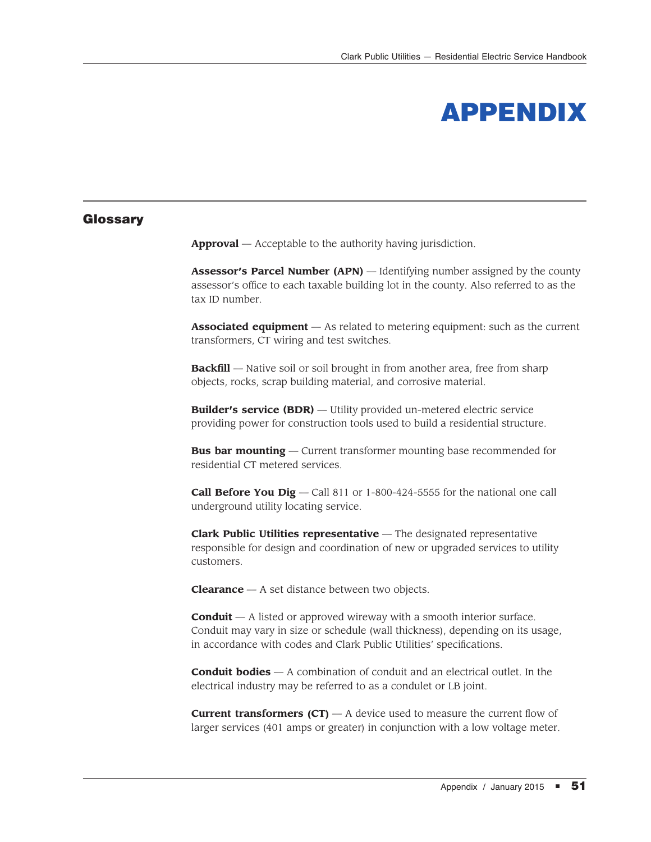## APPENDIX

## **Glossary**

**Approval** — Acceptable to the authority having jurisdiction.

**Assessor's Parcel Number (APN)** — Identifying number assigned by the county assessor's office to each taxable building lot in the county. Also referred to as the tax ID number.

**Associated equipment** — As related to metering equipment: such as the current transformers, CT wiring and test switches.

**Backfill** — Native soil or soil brought in from another area, free from sharp objects, rocks, scrap building material, and corrosive material.

**Builder's service (BDR)** — Utility provided un-metered electric service providing power for construction tools used to build a residential structure.

**Bus bar mounting** — Current transformer mounting base recommended for residential CT metered services.

**Call Before You Dig** — Call 811 or 1-800-424-5555 for the national one call underground utility locating service.

**Clark Public Utilities representative** — The designated representative responsible for design and coordination of new or upgraded services to utility customers.

**Clearance** — A set distance between two objects.

**Conduit** — A listed or approved wireway with a smooth interior surface. Conduit may vary in size or schedule (wall thickness), depending on its usage, in accordance with codes and Clark Public Utilities' specifications.

**Conduit bodies** — A combination of conduit and an electrical outlet. In the electrical industry may be referred to as a condulet or LB joint.

**Current transformers (CT)** — A device used to measure the current flow of larger services (401 amps or greater) in conjunction with a low voltage meter.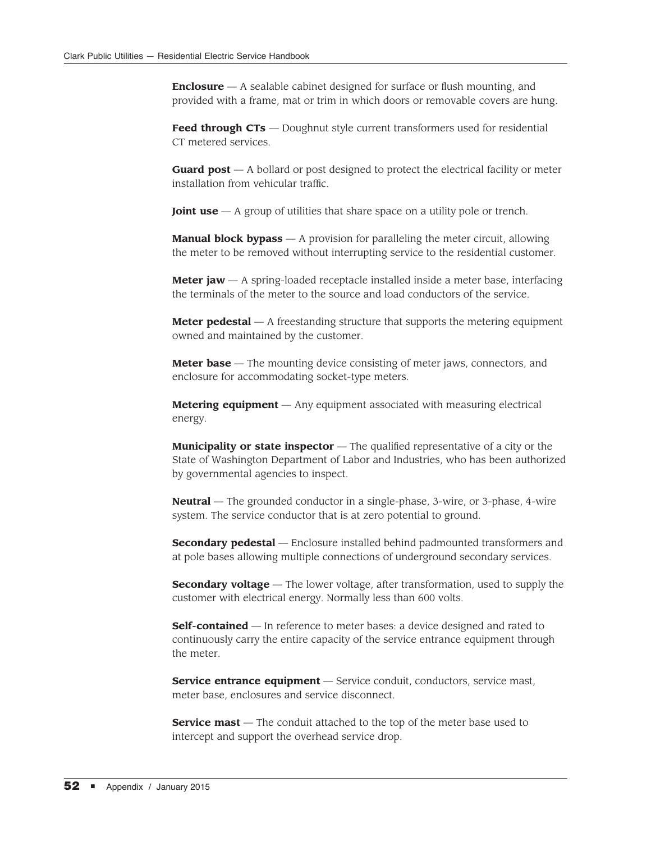**Enclosure** — A sealable cabinet designed for surface or flush mounting, and provided with a frame, mat or trim in which doors or removable covers are hung.

**Feed through CTs** — Doughnut style current transformers used for residential CT metered services.

**Guard post** — A bollard or post designed to protect the electrical facility or meter installation from vehicular traffic.

**Joint use** — A group of utilities that share space on a utility pole or trench.

**Manual block bypass** — A provision for paralleling the meter circuit, allowing the meter to be removed without interrupting service to the residential customer.

**Meter jaw** — A spring-loaded receptacle installed inside a meter base, interfacing the terminals of the meter to the source and load conductors of the service.

**Meter pedestal** — A freestanding structure that supports the metering equipment owned and maintained by the customer.

**Meter base** — The mounting device consisting of meter jaws, connectors, and enclosure for accommodating socket-type meters.

**Metering equipment** — Any equipment associated with measuring electrical energy.

**Municipality or state inspector** — The qualified representative of a city or the State of Washington Department of Labor and Industries, who has been authorized by governmental agencies to inspect.

**Neutral** — The grounded conductor in a single-phase, 3-wire, or 3-phase, 4-wire system. The service conductor that is at zero potential to ground.

**Secondary pedestal** — Enclosure installed behind padmounted transformers and at pole bases allowing multiple connections of underground secondary services.

**Secondary voltage** — The lower voltage, after transformation, used to supply the customer with electrical energy. Normally less than 600 volts.

**Self-contained** — In reference to meter bases: a device designed and rated to continuously carry the entire capacity of the service entrance equipment through the meter.

**Service entrance equipment** — Service conduit, conductors, service mast, meter base, enclosures and service disconnect.

**Service mast** — The conduit attached to the top of the meter base used to intercept and support the overhead service drop.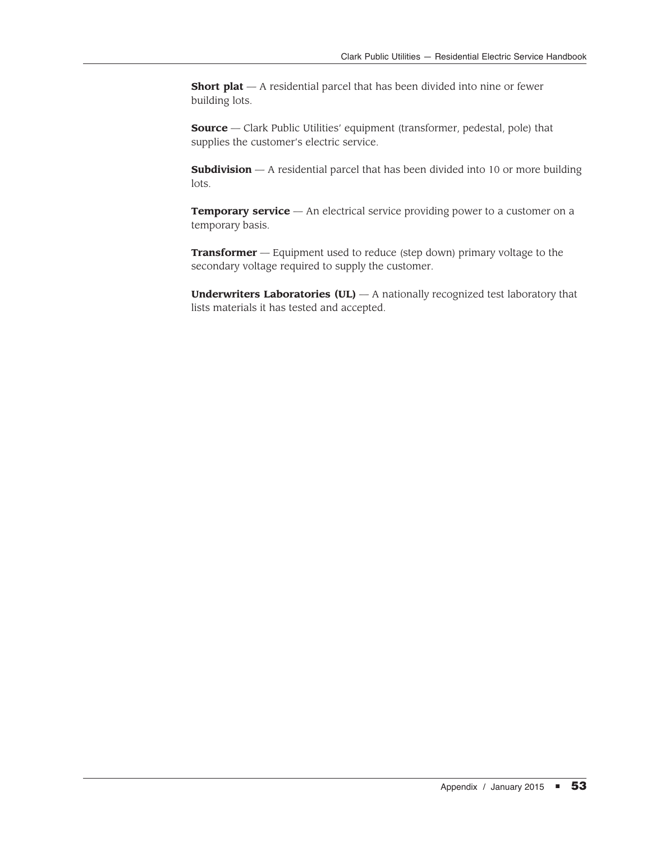**Short plat** — A residential parcel that has been divided into nine or fewer building lots.

**Source** — Clark Public Utilities' equipment (transformer, pedestal, pole) that supplies the customer's electric service.

**Subdivision** — A residential parcel that has been divided into 10 or more building lots.

**Temporary service** — An electrical service providing power to a customer on a temporary basis.

**Transformer** — Equipment used to reduce (step down) primary voltage to the secondary voltage required to supply the customer.

**Underwriters Laboratories (UL)** — A nationally recognized test laboratory that lists materials it has tested and accepted.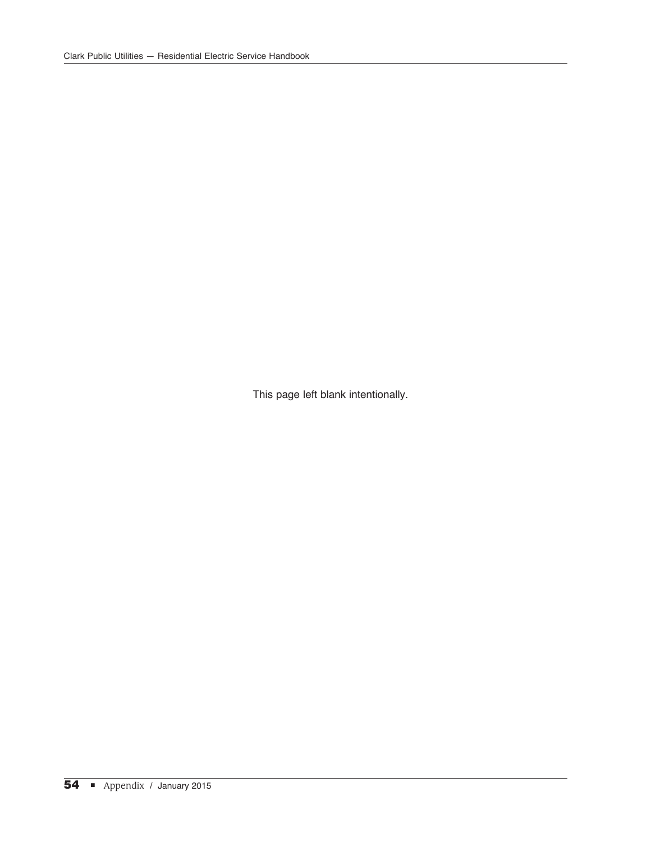This page left blank intentionally.